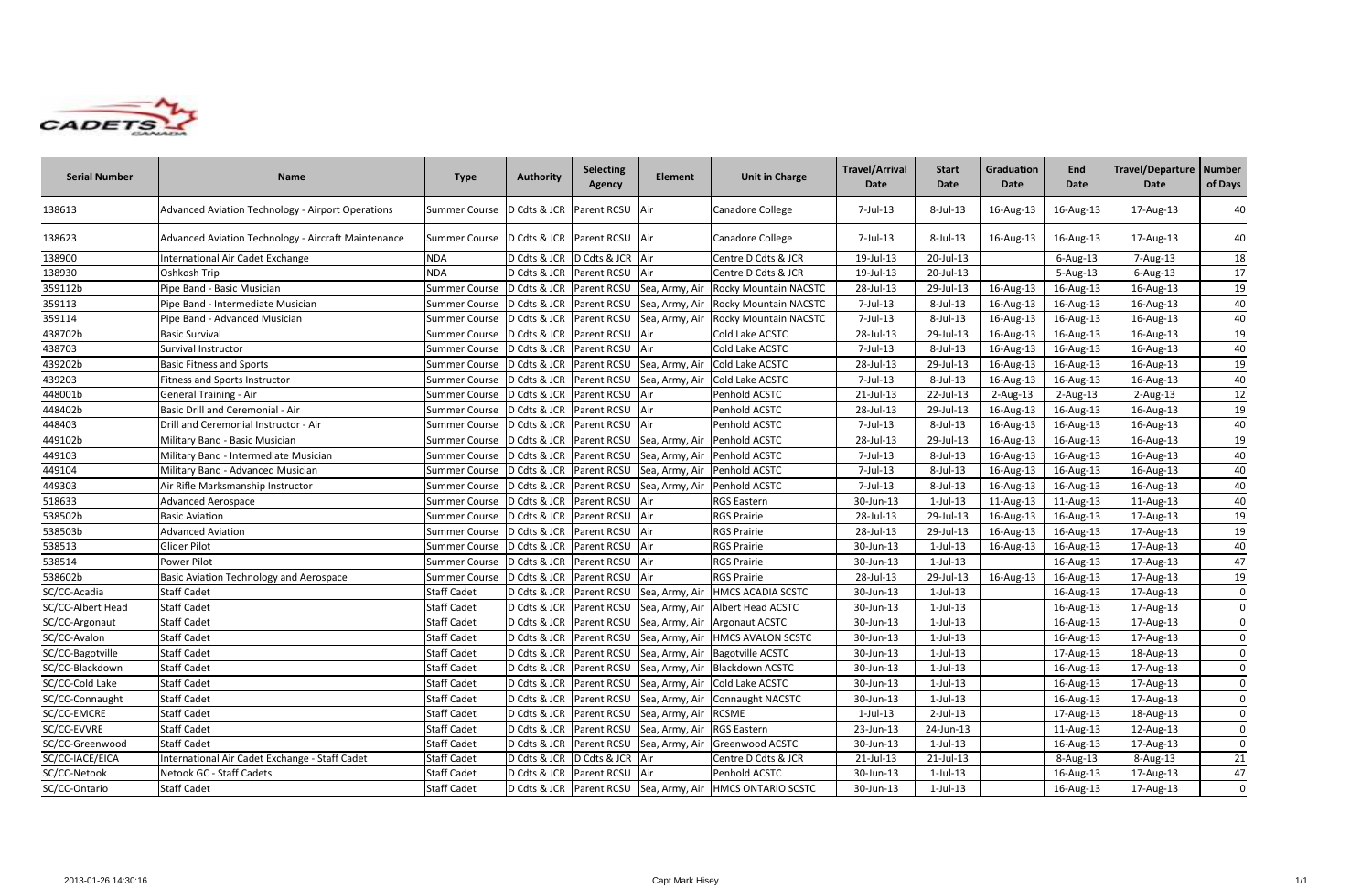

| <b>Serial Number</b> | <b>Name</b>                                         | <b>Type</b>                                      | <b>Authority</b>           | <b>Selecting</b><br><b>Agency</b> | <b>Element</b>                                      | <b>Unit in Charge</b>                                    | <b>Travel/Arrival</b><br>Date | <b>Start</b><br><b>Date</b> | Graduation<br>Date | End<br><b>Date</b> | Travel/Departure   Number<br>Date | of Days     |
|----------------------|-----------------------------------------------------|--------------------------------------------------|----------------------------|-----------------------------------|-----------------------------------------------------|----------------------------------------------------------|-------------------------------|-----------------------------|--------------------|--------------------|-----------------------------------|-------------|
| 138613               | Advanced Aviation Technology - Airport Operations   | Summer Course   D Cdts & JCR   Parent RCSU   Air |                            |                                   |                                                     | Canadore College                                         | 7-Jul-13                      | 8-Jul-13                    | 16-Aug-13          | 16-Aug-13          | 17-Aug-13                         | 40          |
| 138623               | Advanced Aviation Technology - Aircraft Maintenance | Summer Course   D Cdts & JCR   Parent RCSU   Air |                            |                                   |                                                     | Canadore College                                         | 7-Jul-13                      | 8-Jul-13                    | 16-Aug-13          | 16-Aug-13          | 17-Aug-13                         | 40          |
| 138900               | International Air Cadet Exchange                    | <b>NDA</b>                                       | D Cdts & JCR               | D Cdts & JCR Air                  |                                                     | Centre D Cdts & JCR                                      | 19-Jul-13                     | 20-Jul-13                   |                    | 6-Aug-13           | 7-Aug-13                          | 18          |
| 138930               | Oshkosh Trip                                        | <b>NDA</b>                                       | D Cdts & JCR   Parent RCSU |                                   | Air                                                 | Centre D Cdts & JCR                                      | 19-Jul-13                     | 20-Jul-13                   |                    | 5-Aug-13           | $6$ -Aug-13                       | 17          |
| 359112b              | Pipe Band - Basic Musician                          | <b>Summer Course</b>                             | D Cdts & JCR               | Parent RCSU                       | Sea, Army, Air                                      | <b>Rocky Mountain NACSTC</b>                             | 28-Jul-13                     | 29-Jul-13                   | 16-Aug-13          | 16-Aug-13          | 16-Aug-13                         | 19          |
| 359113               | Pipe Band - Intermediate Musician                   | <b>Summer Course</b>                             | D Cdts & JCR Parent RCSU   |                                   | Sea, Army, Air                                      | <b>Rocky Mountain NACSTC</b>                             | 7-Jul-13                      | 8-Jul-13                    | 16-Aug-13          | 16-Aug-13          | 16-Aug-13                         | 40          |
| 359114               | Pipe Band - Advanced Musician                       | <b>Summer Course</b>                             |                            |                                   | D Cdts & JCR   Parent RCSU   Sea, Army, Air         | Rocky Mountain NACSTC                                    | 7-Jul-13                      | 8-Jul-13                    | 16-Aug-13          | 16-Aug-13          | 16-Aug-13                         | 40          |
| 438702b              | <b>Basic Survival</b>                               | <b>Summer Course</b>                             |                            | D Cdts & JCR Parent RCSU Air      |                                                     | Cold Lake ACSTC                                          | 28-Jul-13                     | 29-Jul-13                   | 16-Aug-13          | 16-Aug-13          | 16-Aug-13                         | 19          |
| 438703               | Survival Instructor                                 | <b>Summer Course</b>                             | D Cdts & JCR               | Parent RCSU Air                   |                                                     | Cold Lake ACSTC                                          | 7-Jul-13                      | 8-Jul-13                    | 16-Aug-13          | 16-Aug-13          | 16-Aug-13                         | 40          |
| 439202b              | <b>Basic Fitness and Sports</b>                     | <b>Summer Course</b>                             | D Cdts & JCR Parent RCSU   |                                   | Sea, Army, Air                                      | Cold Lake ACSTC                                          | 28-Jul-13                     | 29-Jul-13                   | 16-Aug-13          | 16-Aug-13          | 16-Aug-13                         | 19          |
| 439203               | Fitness and Sports Instructor                       | <b>Summer Course</b>                             | D Cdts & JCR               |                                   | Parent RCSU Sea, Army, Air                          | Cold Lake ACSTC                                          | 7-Jul-13                      | 8-Jul-13                    | 16-Aug-13          | 16-Aug-13          | 16-Aug-13                         | 40          |
| 448001b              | <b>General Training - Air</b>                       | <b>Summer Course</b>                             |                            | D Cdts & JCR Parent RCSU Air      |                                                     | Penhold ACSTC                                            | 21-Jul-13                     | 22-Jul-13                   | 2-Aug-13           | $2$ -Aug-13        | $2$ -Aug-13                       | 12          |
| 448402b              | Basic Drill and Ceremonial - Air                    | <b>Summer Course</b>                             | D Cdts & JCR               | Parent RCSU Air                   |                                                     | Penhold ACSTC                                            | 28-Jul-13                     | 29-Jul-13                   | 16-Aug-13          | 16-Aug-13          | 16-Aug-13                         | 19          |
| 448403               | Drill and Ceremonial Instructor - Air               | <b>Summer Course</b>                             | D Cdts & JCR               | Parent RCSU                       | Air                                                 | Penhold ACSTC                                            | 7-Jul-13                      | 8-Jul-13                    | 16-Aug-13          | 16-Aug-13          | 16-Aug-13                         | 40          |
| 449102b              | Military Band - Basic Musician                      | <b>Summer Course</b>                             | D Cdts & JCR               | Parent RCSU                       | Sea, Army, Air                                      | Penhold ACSTC                                            | 28-Jul-13                     | 29-Jul-13                   | 16-Aug-13          | 16-Aug-13          | 16-Aug-13                         | 19          |
| 449103               | Military Band - Intermediate Musician               | <b>Summer Course</b>                             | D Cdts & JCR               | Parent RCSU                       | Sea, Army, Air                                      | Penhold ACSTC                                            | 7-Jul-13                      | 8-Jul-13                    | 16-Aug-13          | 16-Aug-13          | 16-Aug-13                         | 40          |
| 449104               | Military Band - Advanced Musician                   | <b>Summer Course</b>                             | D Cdts & JCR               | Parent RCSU                       | Sea, Army, Air                                      | Penhold ACSTC                                            | 7-Jul-13                      | 8-Jul-13                    | 16-Aug-13          | 16-Aug-13          | 16-Aug-13                         | 40          |
| 449303               | Air Rifle Marksmanship Instructor                   | <b>Summer Course</b>                             | D Cdts & JCR Parent RCSU   |                                   | Sea, Army, Air                                      | Penhold ACSTC                                            | 7-Jul-13                      | 8-Jul-13                    | 16-Aug-13          | 16-Aug-13          | 16-Aug-13                         | 40          |
| 518633               | <b>Advanced Aerospace</b>                           | <b>Summer Course</b>                             | D Cdts & JCR               | Parent RCSU Air                   |                                                     | <b>RGS Eastern</b>                                       | 30-Jun-13                     | $1$ -Jul- $13$              | 11-Aug-13          | 11-Aug-13          | 11-Aug-13                         | 40          |
| 538502b              | <b>Basic Aviation</b>                               | <b>Summer Course</b>                             |                            | D Cdts & JCR Parent RCSU Air      |                                                     | <b>RGS Prairie</b>                                       | 28-Jul-13                     | 29-Jul-13                   | 16-Aug-13          | 16-Aug-13          | 17-Aug-13                         | 19          |
| 538503b              | <b>Advanced Aviation</b>                            | <b>Summer Course</b>                             | D Cdts & JCR               | Parent RCSU Air                   |                                                     | <b>RGS Prairie</b>                                       | 28-Jul-13                     | 29-Jul-13                   | 16-Aug-13          | 16-Aug-13          | 17-Aug-13                         | 19          |
| 538513               | Glider Pilot                                        | <b>Summer Course</b>                             | D Cdts & JCR Parent RCSU   |                                   | Air                                                 | <b>RGS Prairie</b>                                       | 30-Jun-13                     | $1$ -Jul-13                 | 16-Aug-13          | 16-Aug-13          | 17-Aug-13                         | 40          |
| 538514               | Power Pilot                                         | <b>Summer Course</b>                             | D Cdts & JCR Parent RCSU   |                                   | Air                                                 | <b>RGS Prairie</b>                                       | 30-Jun-13                     | $1$ -Jul- $13$              |                    | 16-Aug-13          | 17-Aug-13                         | 47          |
| 538602b              | Basic Aviation Technology and Aerospace             | <b>Summer Course</b>                             | D Cdts & JCR               | Parent RCSU                       | <b>Air</b>                                          | <b>RGS Prairie</b>                                       | 28-Jul-13                     | 29-Jul-13                   | 16-Aug-13          | 16-Aug-13          | 17-Aug-13                         | 19          |
| SC/CC-Acadia         | <b>Staff Cadet</b>                                  | <b>Staff Cadet</b>                               | D Cdts & JCR               | Parent RCSU                       | Sea, Army, Air                                      | <b>HMCS ACADIA SCSTC</b>                                 | 30-Jun-13                     | $1$ -Jul- $13$              |                    | 16-Aug-13          | 17-Aug-13                         | $\bf{0}$    |
| SC/CC-Albert Head    | <b>Staff Cadet</b>                                  | <b>Staff Cadet</b>                               | D Cdts & JCR               | Parent RCSU                       | Sea, Army, Air                                      | Albert Head ACSTC                                        | 30-Jun-13                     | $1$ -Jul-13                 |                    | 16-Aug-13          | 17-Aug-13                         | $\mathbf 0$ |
| SC/CC-Argonaut       | <b>Staff Cadet</b>                                  | <b>Staff Cadet</b>                               | D Cdts & JCR               | Parent RCSU                       | Sea, Army, Air                                      | <b>Argonaut ACSTC</b>                                    | 30-Jun-13                     | $1$ -Jul- $13$              |                    | 16-Aug-13          | 17-Aug-13                         | 0           |
| SC/CC-Avalon         | <b>Staff Cadet</b>                                  | <b>Staff Cadet</b>                               | D Cdts & JCR               | Parent RCSU                       | Sea, Army, Air                                      | <b>HMCS AVALON SCSTC</b>                                 | 30-Jun-13                     | 1-Jul-13                    |                    | 16-Aug-13          | 17-Aug-13                         | 0           |
| SC/CC-Bagotville     | <b>Staff Cadet</b>                                  | <b>Staff Cadet</b>                               |                            |                                   | D Cdts & JCR   Parent RCSU   Sea, Army, Air         | <b>Bagotville ACSTC</b>                                  | 30-Jun-13                     | $1$ -Jul- $13$              |                    | 17-Aug-13          | 18-Aug-13                         | 0           |
| SC/CC-Blackdown      | <b>Staff Cadet</b>                                  | <b>Staff Cadet</b>                               |                            |                                   |                                                     | D Cdts & JCR Parent RCSU Sea, Army, Air Blackdown ACSTC  | 30-Jun-13                     | $1$ -Jul- $13$              |                    | 16-Aug-13          | 17-Aug-13                         | 0           |
| SC/CC-Cold Lake      | <b>Staff Cadet</b>                                  | <b>Staff Cadet</b>                               |                            |                                   |                                                     | D Cdts & JCR Parent RCSU Sea, Army, Air Cold Lake ACSTC  | 30-Jun-13                     | $1$ -Jul- $13$              |                    | 16-Aug-13          | 17-Aug-13                         | 0           |
| SC/CC-Connaught      | <b>Staff Cadet</b>                                  | <b>Staff Cadet</b>                               |                            |                                   |                                                     | D Cdts & JCR Parent RCSU Sea, Army, Air Connaught NACSTC | 30-Jun-13                     | $1$ -Jul- $13$              |                    | 16-Aug-13          | 17-Aug-13                         | 0           |
| SC/CC-EMCRE          | <b>Staff Cadet</b>                                  | <b>Staff Cadet</b>                               |                            |                                   | D Cdts & JCR Parent RCSU Sea, Army, Air             | <b>RCSME</b>                                             | $1$ -Jul- $13$                | $2$ -Jul-13                 |                    | 17-Aug-13          | 18-Aug-13                         | 0           |
| SC/CC-EVVRE          | <b>Staff Cadet</b>                                  | <b>Staff Cadet</b>                               |                            |                                   | D Cdts & JCR Parent RCSU Sea, Army, Air RGS Eastern |                                                          | 23-Jun-13                     | 24-Jun-13                   |                    | 11-Aug-13          | 12-Aug-13                         | 0           |
| SC/CC-Greenwood      | <b>Staff Cadet</b>                                  | <b>Staff Cadet</b>                               |                            |                                   | D Cdts & JCR Parent RCSU Sea, Army, Air             | Greenwood ACSTC                                          | 30-Jun-13                     | $1$ -Jul- $13$              |                    | 16-Aug-13          | 17-Aug-13                         | 0           |
| SC/CC-IACE/EICA      | International Air Cadet Exchange - Staff Cadet      | <b>Staff Cadet</b>                               |                            | D Cdts & JCR D Cdts & JCR Air     |                                                     | Centre D Cdts & JCR                                      | 21-Jul-13                     | $21$ -Jul-13                |                    | 8-Aug-13           | 8-Aug-13                          | 21          |
| SC/CC-Netook         | Netook GC - Staff Cadets                            | <b>Staff Cadet</b>                               |                            | D Cdts & JCR Parent RCSU Air      |                                                     | Penhold ACSTC                                            | 30-Jun-13                     | $1$ -Jul- $13$              |                    | 16-Aug-13          | 17-Aug-13                         | 47          |
| SC/CC-Ontario        | <b>Staff Cadet</b>                                  | <b>Staff Cadet</b>                               |                            |                                   | D Cdts & JCR Parent RCSU Sea, Army, Air             | <b>HMCS ONTARIO SCSTC</b>                                | 30-Jun-13                     | $1$ -Jul- $13$              |                    | 16-Aug-13          | 17-Aug-13                         | $\bf{0}$    |